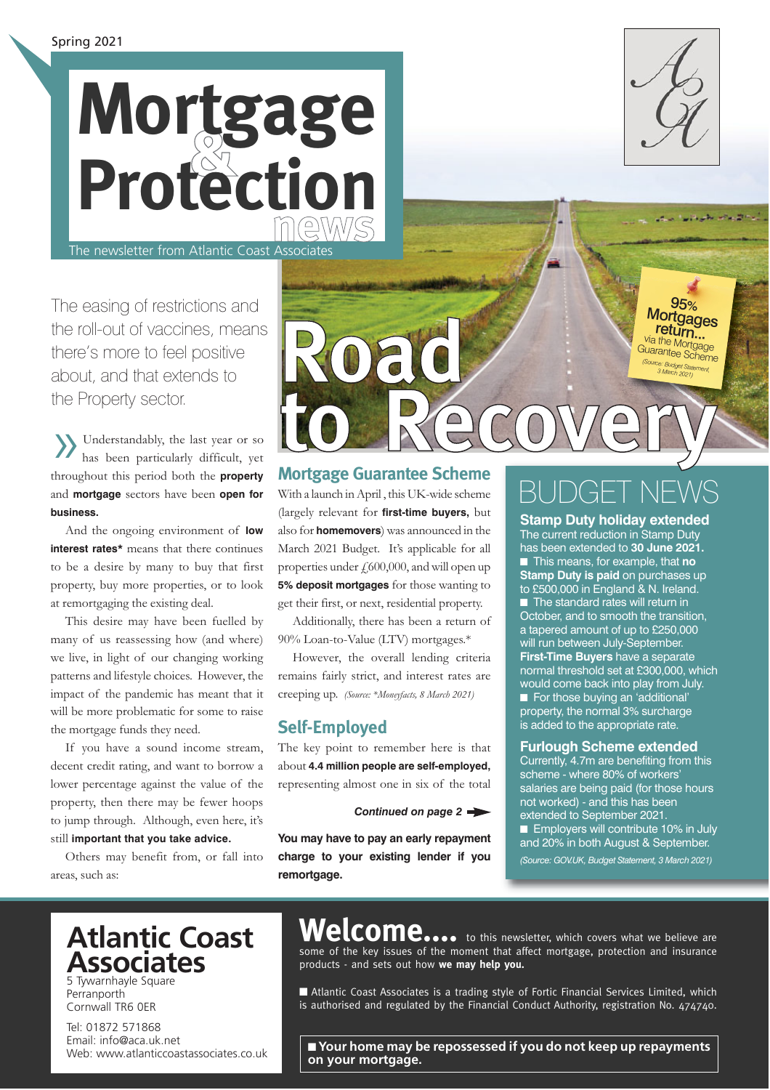# **news & Mortgage Protection** The newsletter from Atlantic Coast Associates

The easing of restrictions and the roll-out of vaccines, means there's more to feel positive about, and that extends to the Property sector.

Understandably, the last year or so has been particularly difficult, yet throughout this period both the **property** and **mortgage** sectors have been **open for business.**

And the ongoing environment of **low interest rates\*** means that there continues to be a desire by many to buy that first property, buy more properties, or to look at remortgaging the existing deal.

This desire may have been fuelled by many of us reassessing how (and where) we live, in light of our changing working patterns and lifestyle choices. However, the impact of the pandemic has meant that it will be more problematic for some to raise the mortgage funds they need.

If you have a sound income stream, decent credit rating, and want to borrow a lower percentage against the value of the property, then there may be fewer hoops to jump through. Although, even here, it's still **important that you take advice.**

Others may benefit from, or fall into areas, such as:

#### 95% **Mortgages** return... via the Mortgage Guarantee Scheme *(Source: Budget Statement,*  **ROBOT to Recovery**

#### **Mortgage Guarantee Scheme**

With a launch in April , this UK-wide scheme (largely relevant for **first-time buyers,** but also for **homemovers**) was announced in the March 2021 Budget. It's applicable for all properties under £600,000, and will open up **5% deposit mortgages** for those wanting to get their first, or next, residential property.

Additionally, there has been a return of 90% Loan-to-Value (LTV) mortgages.\*

However, the overall lending criteria remains fairly strict, and interest rates are creeping up. *(Source: \*Moneyfacts, 8 March 2021)*

#### **Self-Employed**

The key point to remember here is that about **4.4 million people are self-employed,** representing almost one in six of the total

*Continued on page 2*

**You may have to pay an early repayment charge to your existing lender if you remortgage.**

## BUDGET NEWS

Laboratory !

**Stamp Duty holiday extended**

The current reduction in Stamp Duty has been extended to **30 June 2021.** ■ This means, for example, that **no Stamp Duty is paid** on purchases up to £500,000 in England & N. Ireland. ■ The standard rates will return in October, and to smooth the transition, a tapered amount of up to £250,000 will run between July-September. **First-Time Buyers** have a separate normal threshold set at £300,000, which would come back into play from July. ■ For those buying an 'additional' property, the normal 3% surcharge is added to the appropriate rate.

#### **Furlough Scheme extended**

Currently, 4.7m are benefiting from this scheme - where 80% of workers' salaries are being paid (for those hours not worked) - and this has been extended to September 2021.

■ Employers will contribute 10% in July and 20% in both August & September.

*(Source: GOV.UK, Budget Statement, 3 March 2021)*

### **Atlantic Coast Associates**

5 Tywarnhayle Square Perranporth Cornwall TR6 0ER

Tel: 01872 571868 Email: info@aca.uk.net Web: www.atlanticcoastassociates.co.uk

### Welcome.... to this newsletter, which covers what we believe are

some of the key issues of the moment that affect mortgage, protection and insurance products - and sets out how **we may help you.** 

■ Atlantic Coast Associates is a trading style of Fortic Financial Services Limited, which is authorised and regulated by the Financial Conduct Authority, registration No. 474740.

■ **Your home may be repossessed if you do not keep up repayments on your mortgage.**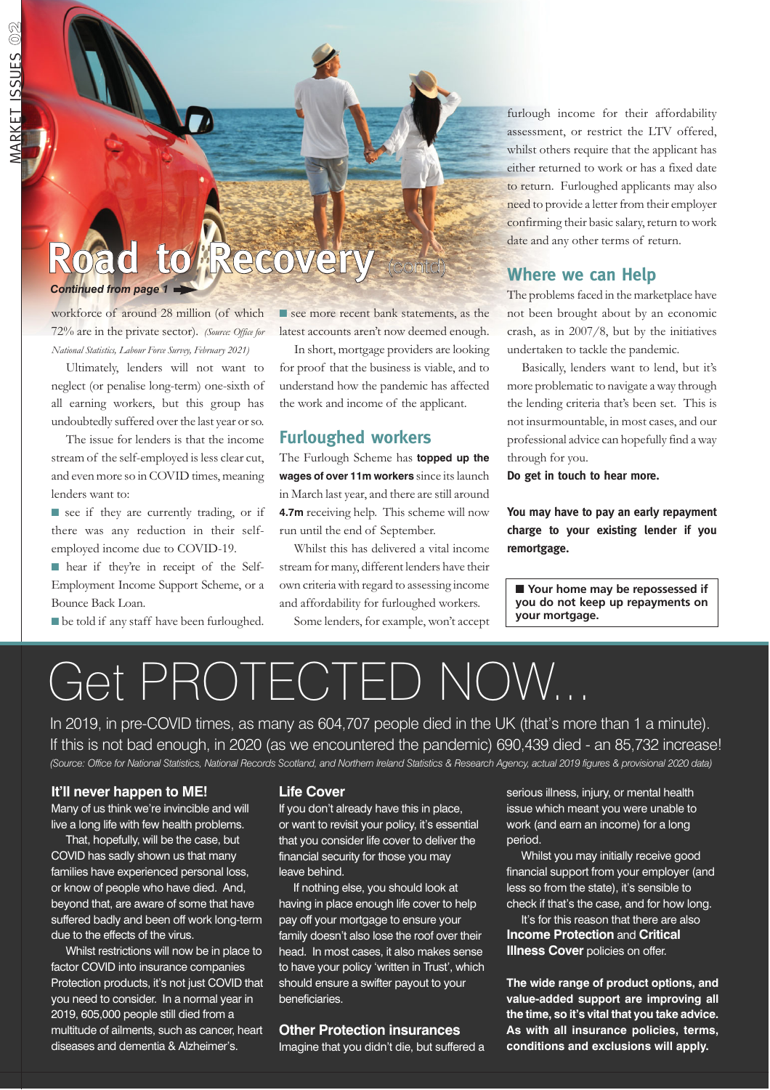# **Recovery** (contd)

#### *Continued from page 1*

workforce of around 28 million (of which 72% are in the private sector). *(Source: Office for National Statistics, Labour Force Survey, February 2021)*

Ultimately, lenders will not want to neglect (or penalise long-term) one-sixth of all earning workers, but this group has undoubtedly suffered over the last year or so.

The issue for lenders is that the income stream of the self-employed is less clear cut, and even more so in COVID times, meaning lenders want to:

■ see if they are currently trading, or if there was any reduction in their selfemployed income due to COVID-19.

■ hear if they're in receipt of the Self-Employment Income Support Scheme, or a Bounce Back Loan.

■ be told if any staff have been furloughed.

■ see more recent bank statements, as the latest accounts aren't now deemed enough.

In short, mortgage providers are looking for proof that the business is viable, and to understand how the pandemic has affected the work and income of the applicant.

#### **Furloughed workers**

The Furlough Scheme has **topped up the wages of over 11m workers** since its launch in March last year, and there are still around **4.7m** receiving help. This scheme will now run until the end of September.

Whilst this has delivered a vital income stream for many, different lenders have their own criteria with regard to assessing income and affordability for furloughed workers.

Some lenders, for example, won't accept

furlough income for their affordability assessment, or restrict the LTV offered, whilst others require that the applicant has either returned to work or has a fixed date to return. Furloughed applicants may also need to provide a letter from their employer confirming their basic salary, return to work date and any other terms of return.

#### **Where we can Help**

The problems faced in the marketplace have not been brought about by an economic crash, as in 2007/8, but by the initiatives undertaken to tackle the pandemic.

Basically, lenders want to lend, but it's more problematic to navigate a way through the lending criteria that's been set. This is not insurmountable, in most cases, and our professional advice can hopefully find a way through for you.

**Do get in touch to hear more.**

**You may have to pay an early repayment charge to your existing lender if you remortgage.**

■ **Your home may be repossessed if you do not keep up repayments on your mortgage.**

# Get PROTECTED NOW...

In 2019, in pre-COVID times, as many as 604,707 people died in the UK (that's more than 1 a minute). If this is not bad enough, in 2020 (as we encountered the pandemic) 690,439 died - an 85,732 increase! *(Source: Office for National Statistics, National Records Scotland, and Northern Ireland Statistics & Research Agency, actual 2019 figures & provisional 2020 data)*

#### **It'll never happen to ME!**

Many of us think we're invincible and will live a long life with few health problems.

That, hopefully, will be the case, but COVID has sadly shown us that many families have experienced personal loss, or know of people who have died. And, beyond that, are aware of some that have suffered badly and been off work long-term due to the effects of the virus.

Whilst restrictions will now be in place to factor COVID into insurance companies Protection products, it's not just COVID that you need to consider. In a normal year in 2019, 605,000 people still died from a multitude of ailments, such as cancer, heart diseases and dementia & Alzheimer's.

#### **Life Cover**

If you don't already have this in place, or want to revisit your policy, it's essential that you consider life cover to deliver the financial security for those you may leave behind.

If nothing else, you should look at having in place enough life cover to help pay off your mortgage to ensure your family doesn't also lose the roof over their head. In most cases, it also makes sense to have your policy 'written in Trust', which should ensure a swifter payout to your beneficiaries.

#### **Other Protection insurances**

Imagine that you didn't die, but suffered a

serious illness, injury, or mental health issue which meant you were unable to work (and earn an income) for a long period.

Whilst you may initially receive good financial support from your employer (and less so from the state), it's sensible to check if that's the case, and for how long.

It's for this reason that there are also **Income Protection** and **Critical Illness Cover** policies on offer.

**The wide range of product options, and value-added support are improving all the time, so it's vital that you take advice. As with all insurance policies, terms, conditions and exclusions will apply.**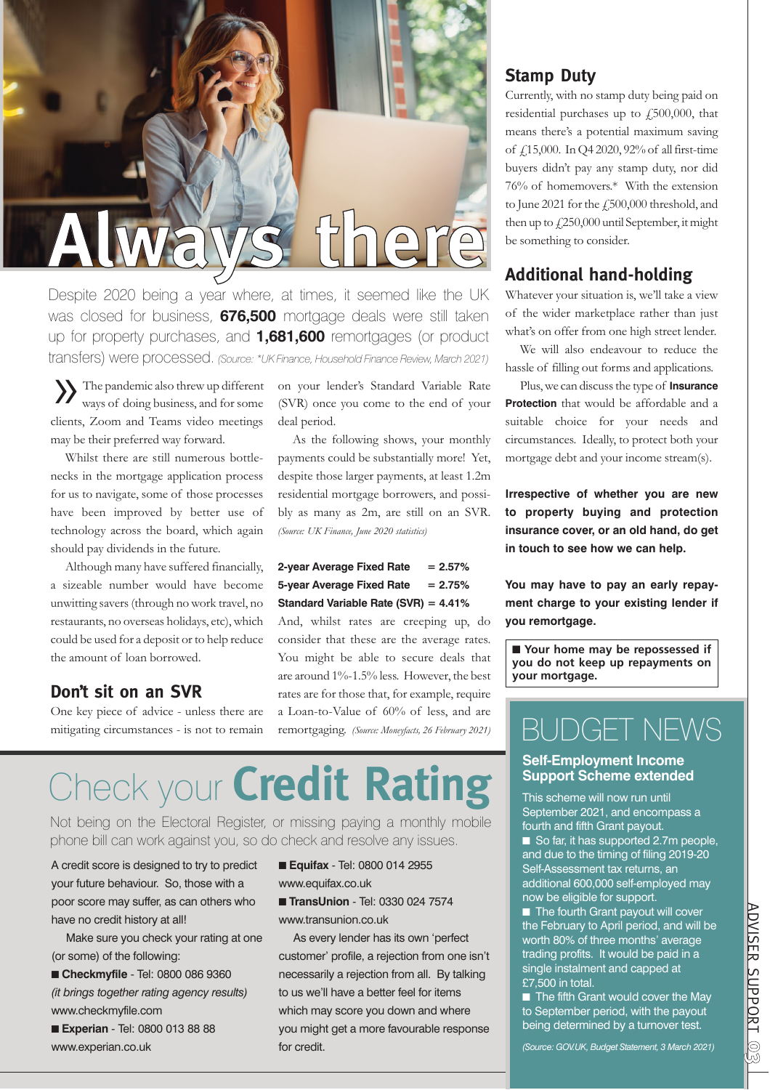# **Always there**

Despite 2020 being a year where, at times, it seemed like the UK was closed for business, **676,500** mortgage deals were still taken up for property purchases, and **1,681,600** remortgages (or product transfers) were processed. *(Source: \*UK Finance, Household Finance Review, March 2021)*

»The pandemic also threw up different ways of doing business, and for some clients, Zoom and Teams video meetings may be their preferred way forward.

Whilst there are still numerous bottlenecks in the mortgage application process for us to navigate, some of those processes have been improved by better use of technology across the board, which again should pay dividends in the future.

Although many have suffered financially, a sizeable number would have become unwitting savers (through no work travel, no restaurants, no overseas holidays, etc), which could be used for a deposit or to help reduce the amount of loan borrowed.

#### **Don't sit on an SVR**

One key piece of advice - unless there are mitigating circumstances - is not to remain on your lender's Standard Variable Rate (SVR) once you come to the end of your deal period.

As the following shows, your monthly payments could be substantially more! Yet, despite those larger payments, at least 1.2m residential mortgage borrowers, and possibly as many as 2m, are still on an SVR. *(Source: UK Finance, June 2020 statistics)*

#### **2-year Average Fixed Rate = 2.57% 5-year Average Fixed Rate = 2.75% Standard Variable Rate (SVR) = 4.41%**

And, whilst rates are creeping up, do consider that these are the average rates. You might be able to secure deals that are around 1%-1.5% less. However, the best rates are for those that, for example, require a Loan-to-Value of 60% of less, and are remortgaging. *(Source: Moneyfacts, 26 February 2021)*

# Check your **Credit Rating**

Not being on the Electoral Register, or missing paying a monthly mobile phone bill can work against you, so do check and resolve any issues.

A credit score is designed to try to predict your future behaviour. So, those with a poor score may suffer, as can others who have no credit history at all!

Make sure you check your rating at one (or some) of the following:

- **Checkmyfile** Tel: 0800 086 9360 *(it brings together rating agency results)* www.checkmyfile.com
- **Experian** Tel: 0800 013 88 88 www.experian.co.uk

■ **Equifax** - Tel: 0800 014 2955 www.equifax.co.uk ■ **TransUnion** - Tel: 0330 024 7574

#### www.transunion.co.uk

As every lender has its own 'perfect customer' profile, a rejection from one isn't necessarily a rejection from all. By talking to us we'll have a better feel for items which may score you down and where you might get a more favourable response for credit.

#### **Stamp Duty**

Currently, with no stamp duty being paid on residential purchases up to  $f$ , 500,000, that means there's a potential maximum saving of £15,000. In Q4 2020, 92% of all first-time buyers didn't pay any stamp duty, nor did 76% of homemovers.\* With the extension to June 2021 for the £500,000 threshold, and then up to  $f250,000$  until September, it might be something to consider.

#### **Additional hand-holding**

Whatever your situation is, we'll take a view of the wider marketplace rather than just what's on offer from one high street lender.

We will also endeavour to reduce the hassle of filling out forms and applications.

Plus, we can discuss the type of **Insurance Protection** that would be affordable and a suitable choice for your needs and circumstances. Ideally, to protect both your mortgage debt and your income stream(s).

**Irrespective of whether you are new to property buying and protection insurance cover, or an old hand, do get in touch to see how we can help.**

**You may have to pay an early repayment charge to your existing lender if you remortgage.**

■ **Your home may be repossessed if you do not keep up repayments on your mortgage.**

### BUDGET NEWS

#### **Self-Employment Income Support Scheme extended**

This scheme will now run until September 2021, and encompass a fourth and fifth Grant payout. ■ So far, it has supported 2.7m people, and due to the timing of filing 2019-20 Self-Assessment tax returns, an additional 600,000 self-employed may now be eligible for support.

■ The fourth Grant payout will cover the February to April period, and will be worth 80% of three months' average trading profits. It would be paid in a single instalment and capped at £7,500 in total.

■ The fifth Grant would cover the May to September period, with the payout being determined by a turnover test.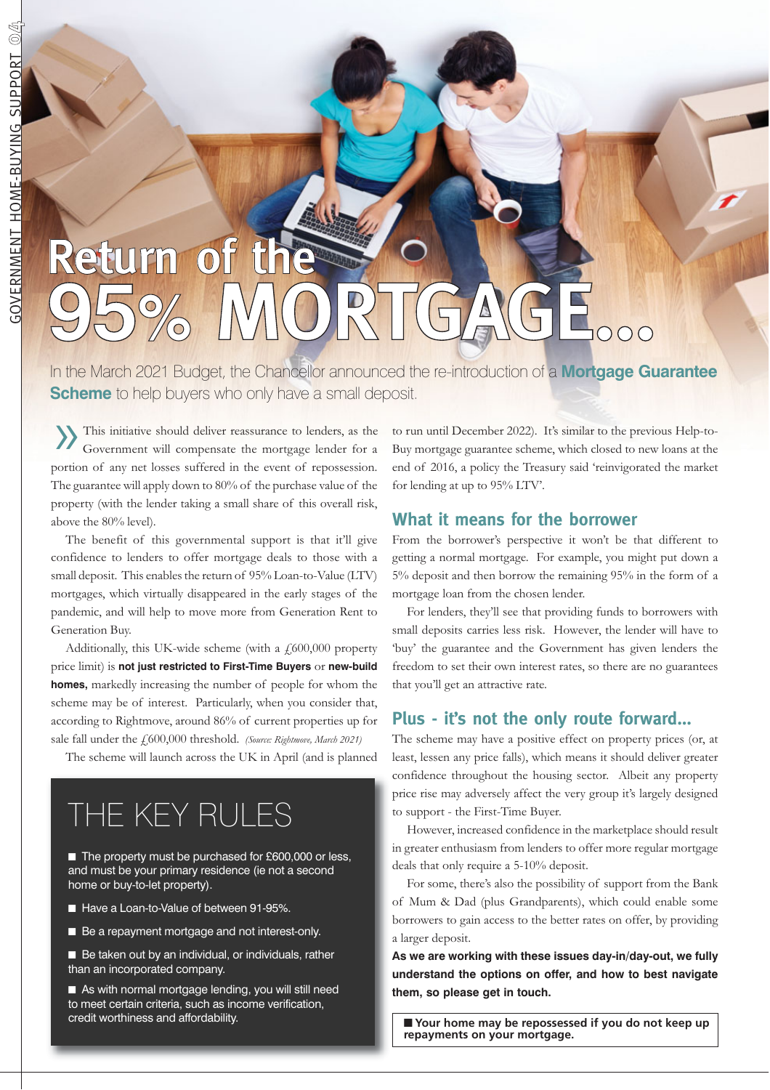# **Return of 95% MORTGAGE...**

In the March 2021 Budget, the Chancellor announced the re-introduction of a **Mortgage Guarantee Scheme** to help buyers who only have a small deposit.

»This initiative should deliver reassurance to lenders, as the Government will compensate the mortgage lender for a portion of any net losses suffered in the event of repossession. The guarantee will apply down to 80% of the purchase value of the property (with the lender taking a small share of this overall risk, above the 80% level).

The benefit of this governmental support is that it'll give confidence to lenders to offer mortgage deals to those with a small deposit. This enables the return of 95% Loan-to-Value (LTV) mortgages, which virtually disappeared in the early stages of the pandemic, and will help to move more from Generation Rent to Generation Buy.

Additionally, this UK-wide scheme (with a  $f<sub>1</sub>600,000$  property price limit) is **not just restricted to First-Time Buyers** or **new-build homes,** markedly increasing the number of people for whom the scheme may be of interest. Particularly, when you consider that, according to Rightmove, around 86% of current properties up for sale fall under the £,600,000 threshold. *(Source: Rightmove, March 2021)* 

The scheme will launch across the UK in April (and is planned

### THE KEY RULES

■ The property must be purchased for £600,000 or less, and must be your primary residence (ie not a second home or buy-to-let property).

- Have a Loan-to-Value of between 91-95%.
- Be a repayment mortgage and not interest-only.

■ Be taken out by an individual, or individuals, rather than an incorporated company.

■ As with normal mortgage lending, you will still need to meet certain criteria, such as income verification, credit worthiness and affordability.

to run until December 2022). It's similar to the previous Help-to-Buy mortgage guarantee scheme, which closed to new loans at the end of 2016, a policy the Treasury said 'reinvigorated the market for lending at up to 95% LTV'.

#### **What it means for the borrower**

From the borrower's perspective it won't be that different to getting a normal mortgage. For example, you might put down a 5% deposit and then borrow the remaining 95% in the form of a mortgage loan from the chosen lender.

For lenders, they'll see that providing funds to borrowers with small deposits carries less risk. However, the lender will have to 'buy' the guarantee and the Government has given lenders the freedom to set their own interest rates, so there are no guarantees that you'll get an attractive rate.

#### **Plus - it's not the only route forward...**

The scheme may have a positive effect on property prices (or, at least, lessen any price falls), which means it should deliver greater confidence throughout the housing sector. Albeit any property price rise may adversely affect the very group it's largely designed to support - the First-Time Buyer.

However, increased confidence in the marketplace should result in greater enthusiasm from lenders to offer more regular mortgage deals that only require a 5-10% deposit.

For some, there's also the possibility of support from the Bank of Mum & Dad (plus Grandparents), which could enable some borrowers to gain access to the better rates on offer, by providing a larger deposit.

**As we are working with these issues day-in/day-out, we fully understand the options on offer, and how to best navigate them, so please get in touch.**

■ **Your home may be repossessed if you do not keep up repayments on your mortgage.**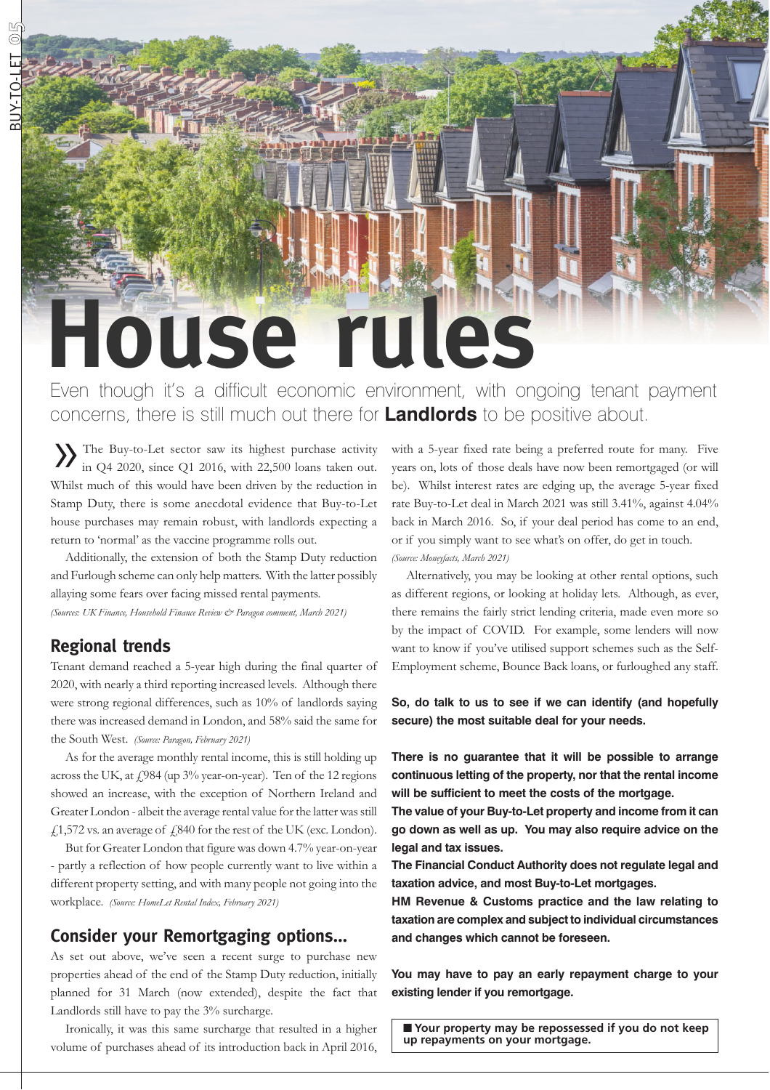# **House rules**

Even though it's a difficult economic environment, with ongoing tenant payment concerns, there is still much out there for **Landlords** to be positive about.

The Buy-to-Let sector saw its highest purchase activity in Q4 2020, since Q1 2016, with 22,500 loans taken out. Whilst much of this would have been driven by the reduction in Stamp Duty, there is some anecdotal evidence that Buy-to-Let house purchases may remain robust, with landlords expecting a return to 'normal' as the vaccine programme rolls out.

Additionally, the extension of both the Stamp Duty reduction and Furlough scheme can only help matters. With the latter possibly allaying some fears over facing missed rental payments. *(Sources: UK Finance, Household Finance Review & Paragon comment, March 2021)*

#### **Regional trends**

Tenant demand reached a 5-year high during the final quarter of 2020, with nearly a third reporting increased levels. Although there were strong regional differences, such as 10% of landlords saying there was increased demand in London, and 58% said the same for the South West. *(Source: Paragon, February 2021)*

As for the average monthly rental income, this is still holding up across the UK, at  $f$ , 984 (up 3% year-on-year). Ten of the 12 regions showed an increase, with the exception of Northern Ireland and Greater London - albeit the average rental value for the latter was still  $f$ , 1,572 vs. an average of  $f$ ,840 for the rest of the UK (exc. London).

But for Greater London that figure was down 4.7% year-on-year - partly a reflection of how people currently want to live within a different property setting, and with many people not going into the workplace. *(Source: HomeLet Rental Index, February 2021)*

#### **Consider your Remortgaging options...**

As set out above, we've seen a recent surge to purchase new properties ahead of the end of the Stamp Duty reduction, initially planned for 31 March (now extended), despite the fact that Landlords still have to pay the 3% surcharge.

Ironically, it was this same surcharge that resulted in a higher volume of purchases ahead of its introduction back in April 2016, with a 5-year fixed rate being a preferred route for many. Five years on, lots of those deals have now been remortgaged (or will be). Whilst interest rates are edging up, the average 5-year fixed rate Buy-to-Let deal in March 2021 was still 3.41%, against 4.04% back in March 2016. So, if your deal period has come to an end, or if you simply want to see what's on offer, do get in touch. *(Source: Moneyfacts, March 2021)*

Alternatively, you may be looking at other rental options, such as different regions, or looking at holiday lets. Although, as ever, there remains the fairly strict lending criteria, made even more so by the impact of COVID. For example, some lenders will now want to know if you've utilised support schemes such as the Self-Employment scheme, Bounce Back loans, or furloughed any staff.

**So, do talk to us to see if we can identify (and hopefully secure) the most suitable deal for your needs.**

**There is no guarantee that it will be possible to arrange continuous letting of the property, nor that the rental income will be sufficient to meet the costs of the mortgage.**

**The value of your Buy-to-Let property and income from it can go down as well as up. You may also require advice on the legal and tax issues.**

**The Financial Conduct Authority does not regulate legal and taxation advice, and most Buy-to-Let mortgages.**

**HM Revenue & Customs practice and the law relating to taxation are complex and subject to individual circumstances and changes which cannot be foreseen.**

**You may have to pay an early repayment charge to your existing lender if you remortgage.**

■ **Your property may be repossessed if you do not keep up repayments on your mortgage.**